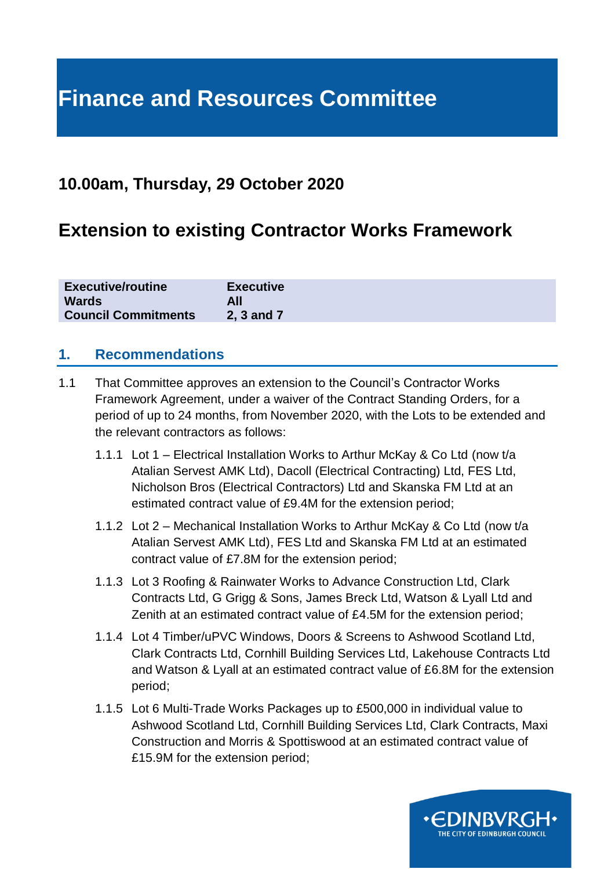# **Finance and Resources Committee**

### **10.00am, Thursday, 29 October 2020**

## **Extension to existing Contractor Works Framework**

| <b>Executive/routine</b>   | <b>Executive</b> |
|----------------------------|------------------|
| <b>Wards</b>               |                  |
| <b>Council Commitments</b> | 2, 3 and 7       |

#### **1. Recommendations**

- 1.1 That Committee approves an extension to the Council's Contractor Works Framework Agreement, under a waiver of the Contract Standing Orders, for a period of up to 24 months, from November 2020, with the Lots to be extended and the relevant contractors as follows:
	- 1.1.1 Lot 1 Electrical Installation Works to Arthur McKay & Co Ltd (now t/a Atalian Servest AMK Ltd), Dacoll (Electrical Contracting) Ltd, FES Ltd, Nicholson Bros (Electrical Contractors) Ltd and Skanska FM Ltd at an estimated contract value of £9.4M for the extension period;
	- 1.1.2 Lot 2 Mechanical Installation Works to Arthur McKay & Co Ltd (now t/a Atalian Servest AMK Ltd), FES Ltd and Skanska FM Ltd at an estimated contract value of £7.8M for the extension period;
	- 1.1.3 Lot 3 Roofing & Rainwater Works to Advance Construction Ltd, Clark Contracts Ltd, G Grigg & Sons, James Breck Ltd, Watson & Lyall Ltd and Zenith at an estimated contract value of £4.5M for the extension period;
	- 1.1.4 Lot 4 Timber/uPVC Windows, Doors & Screens to Ashwood Scotland Ltd, Clark Contracts Ltd, Cornhill Building Services Ltd, Lakehouse Contracts Ltd and Watson & Lyall at an estimated contract value of £6.8M for the extension period;
	- 1.1.5 Lot 6 Multi-Trade Works Packages up to £500,000 in individual value to Ashwood Scotland Ltd, Cornhill Building Services Ltd, Clark Contracts, Maxi Construction and Morris & Spottiswood at an estimated contract value of £15.9M for the extension period;

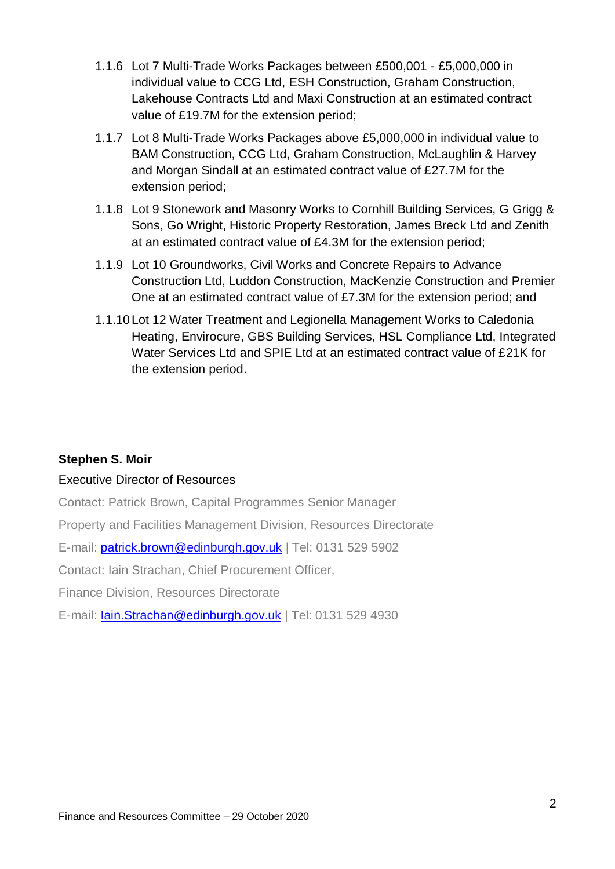- 1.1.6 Lot 7 Multi-Trade Works Packages between £500,001 £5,000,000 in individual value to CCG Ltd, ESH Construction, Graham Construction, Lakehouse Contracts Ltd and Maxi Construction at an estimated contract value of £19.7M for the extension period;
- 1.1.7 Lot 8 Multi-Trade Works Packages above £5,000,000 in individual value to BAM Construction, CCG Ltd, Graham Construction, McLaughlin & Harvey and Morgan Sindall at an estimated contract value of £27.7M for the extension period;
- 1.1.8 Lot 9 Stonework and Masonry Works to Cornhill Building Services, G Grigg & Sons, Go Wright, Historic Property Restoration, James Breck Ltd and Zenith at an estimated contract value of £4.3M for the extension period;
- 1.1.9 Lot 10 Groundworks, Civil Works and Concrete Repairs to Advance Construction Ltd, Luddon Construction, MacKenzie Construction and Premier One at an estimated contract value of £7.3M for the extension period; and
- 1.1.10 Lot 12 Water Treatment and Legionella Management Works to Caledonia Heating, Envirocure, GBS Building Services, HSL Compliance Ltd, Integrated Water Services Ltd and SPIE Ltd at an estimated contract value of £21K for the extension period.

#### **Stephen S. Moir**

#### Executive Director of Resources

Contact: Patrick Brown, Capital Programmes Senior Manager

Property and Facilities Management Division, Resources Directorate

E-mail: [patrick.brown@edinburgh.gov.uk](mailto:patrick.brown@edinburgh.gov.uk) | Tel: 0131 529 5902

Contact: Iain Strachan, Chief Procurement Officer,

Finance Division, Resources Directorate

E-mail: [Iain.Strachan@edinburgh.gov.uk](mailto:Iain.Strachan@edinburgh.gov.uk) | Tel: 0131 529 4930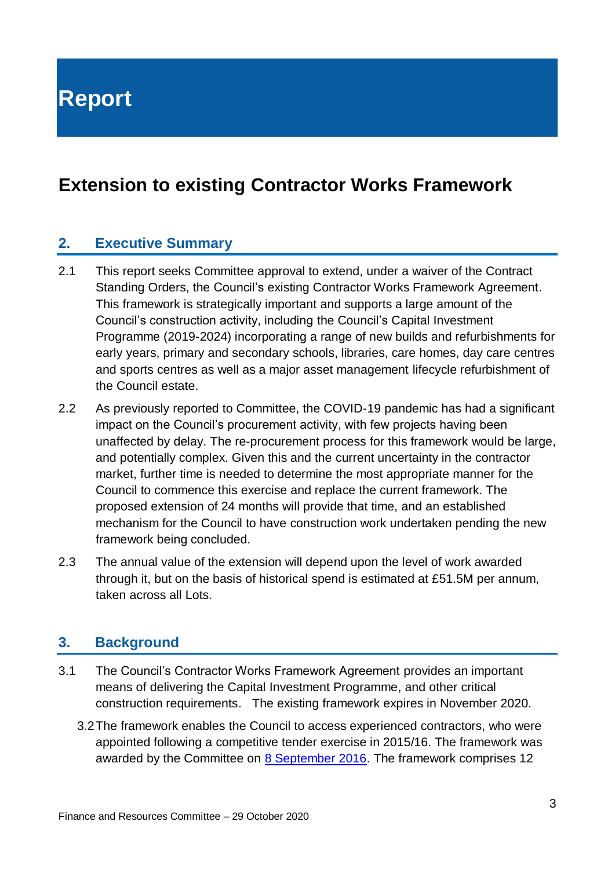**Report**

## **Extension to existing Contractor Works Framework**

#### **2. Executive Summary**

- 2.1 This report seeks Committee approval to extend, under a waiver of the Contract Standing Orders, the Council's existing Contractor Works Framework Agreement. This framework is strategically important and supports a large amount of the Council's construction activity, including the Council's Capital Investment Programme (2019-2024) incorporating a range of new builds and refurbishments for early years, primary and secondary schools, libraries, care homes, day care centres and sports centres as well as a major asset management lifecycle refurbishment of the Council estate.
- 2.2 As previously reported to Committee, the COVID-19 pandemic has had a significant impact on the Council's procurement activity, with few projects having been unaffected by delay. The re-procurement process for this framework would be large, and potentially complex. Given this and the current uncertainty in the contractor market, further time is needed to determine the most appropriate manner for the Council to commence this exercise and replace the current framework. The proposed extension of 24 months will provide that time, and an established mechanism for the Council to have construction work undertaken pending the new framework being concluded.
- 2.3 The annual value of the extension will depend upon the level of work awarded through it, but on the basis of historical spend is estimated at £51.5M per annum, taken across all Lots.

#### **3. Background**

- 3.1 The Council's Contractor Works Framework Agreement provides an important means of delivering the Capital Investment Programme, and other critical construction requirements. The existing framework expires in November 2020.
	- 3.2The framework enables the Council to access experienced contractors, who were appointed following a competitive tender exercise in 2015/16. The framework was awarded by the Committee on [8 September 2016.](https://democracy.edinburgh.gov.uk/Data/Finance%20and%20Resources%20Committee/20160908/Agenda/item_74_contractor_works_framework_-_award_of_contract.pdf) The framework comprises 12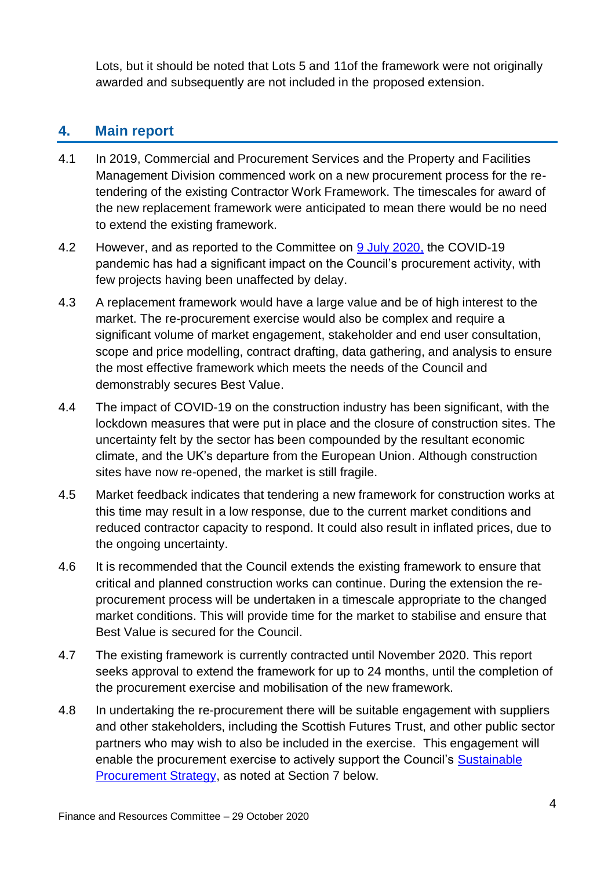Lots, but it should be noted that Lots 5 and 11of the framework were not originally awarded and subsequently are not included in the proposed extension.

### **4. Main report**

- 4.1 In 2019, Commercial and Procurement Services and the Property and Facilities Management Division commenced work on a new procurement process for the retendering of the existing Contractor Work Framework. The timescales for award of the new replacement framework were anticipated to mean there would be no need to extend the existing framework.
- 4.2 However, and as reported to the Committee on [9 July 2020,](https://democracy.edinburgh.gov.uk/documents/s24691/Item%206.13%20-%20Covid-19%20Impact%20on%20Council%20Procurement.pdf) the COVID-19 pandemic has had a significant impact on the Council's procurement activity, with few projects having been unaffected by delay.
- 4.3 A replacement framework would have a large value and be of high interest to the market. The re-procurement exercise would also be complex and require a significant volume of market engagement, stakeholder and end user consultation, scope and price modelling, contract drafting, data gathering, and analysis to ensure the most effective framework which meets the needs of the Council and demonstrably secures Best Value.
- 4.4 The impact of COVID-19 on the construction industry has been significant, with the lockdown measures that were put in place and the closure of construction sites. The uncertainty felt by the sector has been compounded by the resultant economic climate, and the UK's departure from the European Union. Although construction sites have now re-opened, the market is still fragile.
- 4.5 Market feedback indicates that tendering a new framework for construction works at this time may result in a low response, due to the current market conditions and reduced contractor capacity to respond. It could also result in inflated prices, due to the ongoing uncertainty.
- 4.6 It is recommended that the Council extends the existing framework to ensure that critical and planned construction works can continue. During the extension the reprocurement process will be undertaken in a timescale appropriate to the changed market conditions. This will provide time for the market to stabilise and ensure that Best Value is secured for the Council.
- 4.7 The existing framework is currently contracted until November 2020. This report seeks approval to extend the framework for up to 24 months, until the completion of the procurement exercise and mobilisation of the new framework.
- 4.8 In undertaking the re-procurement there will be suitable engagement with suppliers and other stakeholders, including the Scottish Futures Trust, and other public sector partners who may wish to also be included in the exercise. This engagement will enable the procurement exercise to actively support the Council's [Sustainable](https://www.edinburgh.gov.uk/downloads/file/27180/procurement-strategy---2020-to-2025)  [Procurement Strategy,](https://www.edinburgh.gov.uk/downloads/file/27180/procurement-strategy---2020-to-2025) as noted at Section 7 below.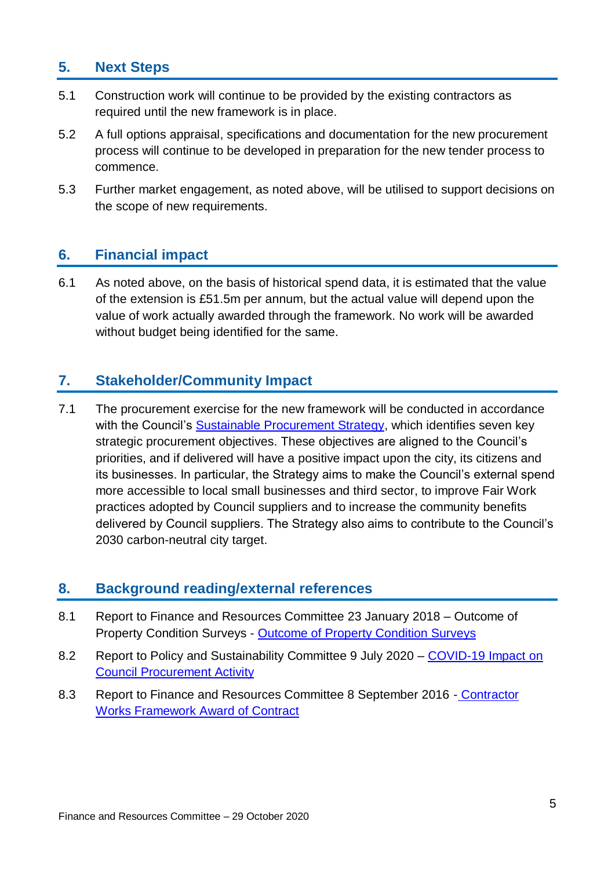#### **5. Next Steps**

- 5.1 Construction work will continue to be provided by the existing contractors as required until the new framework is in place.
- 5.2 A full options appraisal, specifications and documentation for the new procurement process will continue to be developed in preparation for the new tender process to commence.
- 5.3 Further market engagement, as noted above, will be utilised to support decisions on the scope of new requirements.

#### **6. Financial impact**

6.1 As noted above, on the basis of historical spend data, it is estimated that the value of the extension is £51.5m per annum, but the actual value will depend upon the value of work actually awarded through the framework. No work will be awarded without budget being identified for the same.

#### **7. Stakeholder/Community Impact**

7.1 The procurement exercise for the new framework will be conducted in accordance with the Council's [Sustainable Procurement Strategy,](https://www.edinburgh.gov.uk/downloads/file/27180/procurement-strategy---2020-to-2025) which identifies seven key strategic procurement objectives. These objectives are aligned to the Council's priorities, and if delivered will have a positive impact upon the city, its citizens and its businesses. In particular, the Strategy aims to make the Council's external spend more accessible to local small businesses and third sector, to improve Fair Work practices adopted by Council suppliers and to increase the community benefits delivered by Council suppliers. The Strategy also aims to contribute to the Council's 2030 carbon-neutral city target.

#### **8. Background reading/external references**

- 8.1 Report to Finance and Resources Committee 23 January 2018 Outcome of Property Condition Surveys - [Outcome of Property Condition Surveys](http://www.edinburgh.gov.uk/meetings/meeting/4309/finance_and_resources_committee)
- 8.2 Report to Policy and Sustainability Committee 9 July 2020 COVID-19 Impact on [Council Procurement Activity](https://democracy.edinburgh.gov.uk/documents/s24691/Item%206.13%20-%20Covid-19%20Impact%20on%20Council%20Procurement.pdf)
- 8.3 Report to Finance and Resources Committee 8 September 2016 [Contractor](https://democracy.edinburgh.gov.uk/Data/Finance%20and%20Resources%20Committee/20160908/Agenda/item_74_contractor_works_framework_-_award_of_contract.pdf)  [Works Framework Award of Contract](https://democracy.edinburgh.gov.uk/Data/Finance%20and%20Resources%20Committee/20160908/Agenda/item_74_contractor_works_framework_-_award_of_contract.pdf)